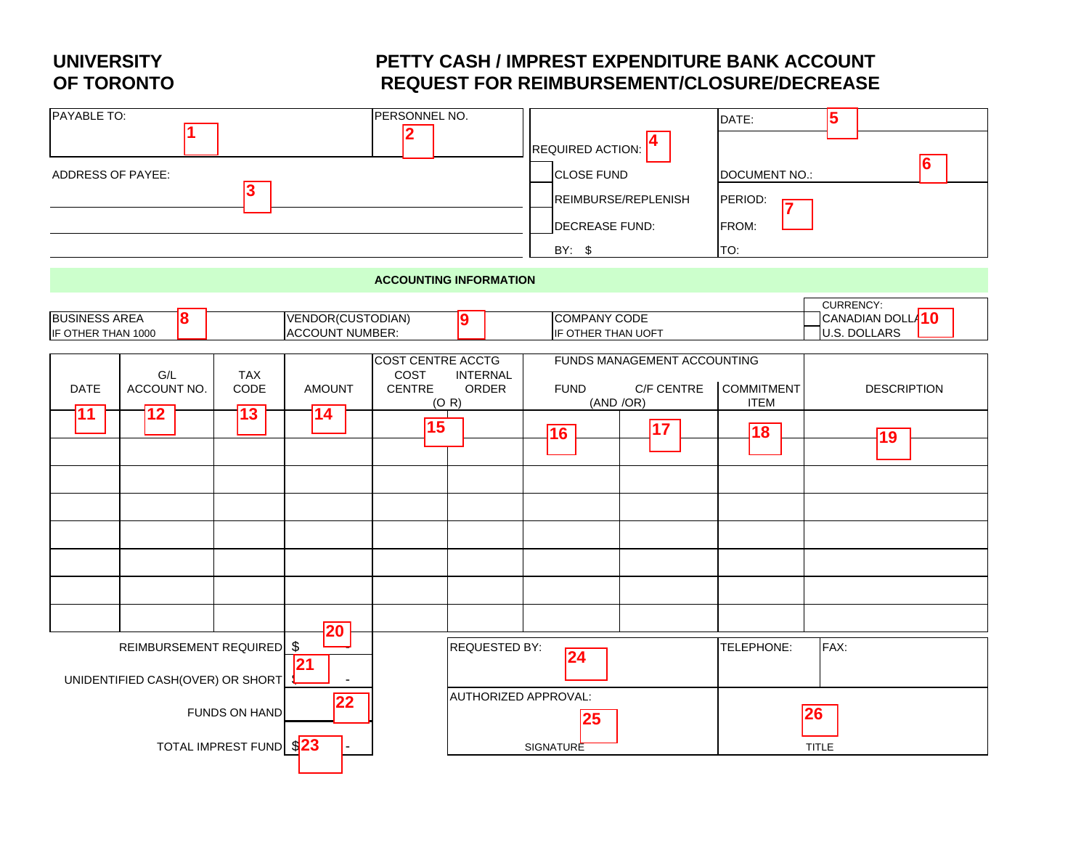## **UNIVERSITY PETTY CASH / IMPREST EXPENDITURE BANK ACCOUNT OF TORONTO REQUEST FOR REIMBURSEMENT/CLOSURE/DECREASE**

| PAYABLE TO:                                        | PERSONNEL NO.                      |                 |                           |                             | DATE:                            | 5                             |  |
|----------------------------------------------------|------------------------------------|-----------------|---------------------------|-----------------------------|----------------------------------|-------------------------------|--|
|                                                    | 2                                  |                 | <b>REQUIRED ACTION:</b>   |                             |                                  |                               |  |
| ADDRESS OF PAYEE:                                  | <b>CLOSE FUND</b>                  |                 | DOCUMENT NO.:             | $\overline{6}$              |                                  |                               |  |
| 3                                                  |                                    |                 | REIMBURSE/REPLENISH       |                             | PERIOD:                          |                               |  |
|                                                    | <b>DECREASE FUND:</b>              |                 | FROM:                     |                             |                                  |                               |  |
|                                                    | BY: \$                             |                 | TO:                       |                             |                                  |                               |  |
| <b>ACCOUNTING INFORMATION</b>                      |                                    |                 |                           |                             |                                  |                               |  |
| 8<br><b>BUSINESS AREA</b>                          | VENDOR(CUSTODIAN)                  | 9               | <b>COMPANY CODE</b>       |                             |                                  | CURRENCY:<br>CANADIAN DOLLA10 |  |
| IF OTHER THAN 1000                                 | <b>ACCOUNT NUMBER:</b>             |                 | IF OTHER THAN UOFT        |                             |                                  | <b>U.S. DOLLARS</b>           |  |
| G/L<br><b>TAX</b>                                  | <b>COST CENTRE ACCTG</b><br>COST   | <b>INTERNAL</b> |                           | FUNDS MANAGEMENT ACCOUNTING |                                  |                               |  |
| <b>DATE</b><br>ACCOUNT NO.<br>CODE                 | <b>AMOUNT</b><br><b>CENTRE</b>     | ORDER<br>(O R)  | <b>FUND</b><br>(AND / OR) | C/F CENTRE                  | <b>COMMITMENT</b><br><b>ITEM</b> | <b>DESCRIPTION</b>            |  |
| $\overline{12}$<br>$\overline{13}$<br> 11          | $\overline{14}$<br>$\overline{15}$ |                 | 16                        | $\overline{17}$             | 18                               | $\overline{19}$               |  |
|                                                    |                                    |                 |                           |                             |                                  |                               |  |
|                                                    |                                    |                 |                           |                             |                                  |                               |  |
|                                                    |                                    |                 |                           |                             |                                  |                               |  |
|                                                    |                                    |                 |                           |                             |                                  |                               |  |
|                                                    |                                    |                 |                           |                             |                                  |                               |  |
|                                                    |                                    |                 |                           |                             |                                  |                               |  |
|                                                    | 20                                 |                 |                           |                             |                                  |                               |  |
| REIMBURSEMENT REQUIRED \$                          |                                    | REQUESTED BY:   | 24                        |                             | TELEPHONE:                       | FAX:                          |  |
| 21<br>UNIDENTIFIED CASH(OVER) OR SHORT             |                                    |                 |                           |                             |                                  |                               |  |
| AUTHORIZED APPROVAL:<br>22<br><b>FUNDS ON HAND</b> |                                    |                 | 25                        |                             | 26                               |                               |  |
| TOTAL IMPREST FUND \$23                            |                                    | SIGNATURE       |                           |                             | <b>TITLE</b>                     |                               |  |